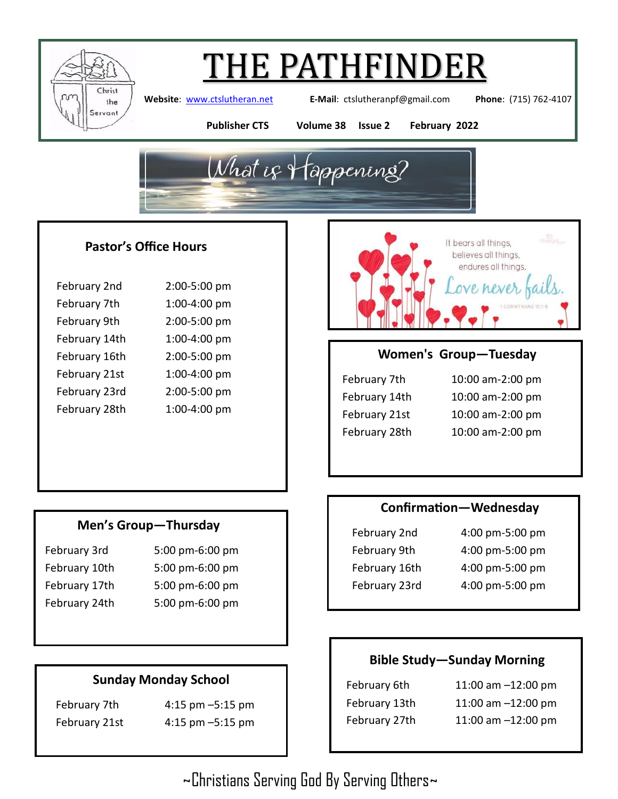

**Website**: [www.ctslutheran.net](http://www.ctslutheran.net/) **E-Mail**: ctslutheranpf@gmail.com **Phone**: (715) 762-4107

**Publisher CTS Volume 38 Issue 2 February 2022**



### **Pastor's Office Hours**

| February 2nd  | 2:00-5:00 pm |
|---------------|--------------|
| February 7th  | 1:00-4:00 pm |
| February 9th  | 2:00-5:00 pm |
| February 14th | 1:00-4:00 pm |
| February 16th | 2:00-5:00 pm |
| February 21st | 1:00-4:00 pm |
| February 23rd | 2:00-5:00 pm |
| February 28th | 1:00-4:00 pm |

## **Men's Group—Thursday**

- 
- February 3rd 5:00 pm-6:00 pm February 10th 5:00 pm-6:00 pm February 17th 5:00 pm-6:00 pm February 24th 5:00 pm-6:00 pm

## **Sunday Monday School**

February 7th 4:15 pm –5:15 pm February 21st 4:15 pm –5:15 pm



## **Women's Group—Tuesday**

| February 7th  |
|---------------|
| February 14th |
| February 21st |
| February 28th |

| February 7th  | 10:00 am-2:00 pm |
|---------------|------------------|
| February 14th | 10:00 am-2:00 pm |
| February 21st | 10:00 am-2:00 pm |
| February 28th | 10:00 am-2:00 pm |

### **Confirmation—Wednesday**

- 
- February 2nd 4:00 pm-5:00 pm February 9th 4:00 pm-5:00 pm February 16th 4:00 pm-5:00 pm February 23rd 4:00 pm-5:00 pm

## **Bible Study—Sunday Morning**

February 6th 11:00 am –12:00 pm

February 13th 11:00 am –12:00 pm February 27th 11:00 am –12:00 pm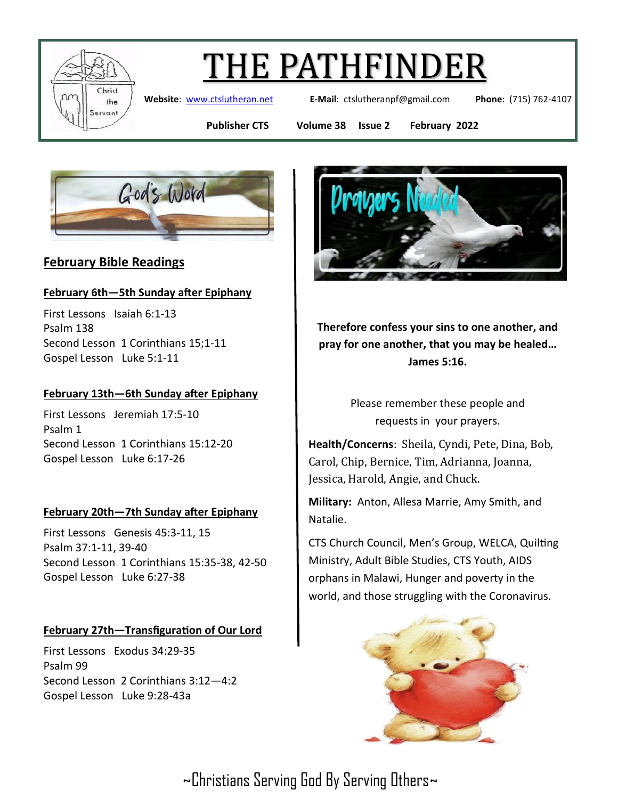

**Website**: [www.ctslutheran.net](http://www.ctslutheran.net/) **E-Mail**: ctslutheranpf@gmail.com **Phone**: (715) 762-4107

**Publisher CTS Volume 38 Issue 2 February 2022**



## **February Bible Readings**

#### **February 6th—5th Sunday after Epiphany**

First Lessons Isaiah 6:1-13 Psalm 138 Second Lesson 1 Corinthians 15;1-11 Gospel Lesson Luke 5:1-11

#### **February 13th—6th Sunday after Epiphany**

First Lessons Jeremiah 17:5-10 Psalm 1 Second Lesson 1 Corinthians 15:12-20 Gospel Lesson Luke 6:17-26

#### **February 20th—7th Sunday after Epiphany**

First Lessons Genesis 45:3-11, 15 Psalm 37:1-11, 39-40 Second Lesson 1 Corinthians 15:35-38, 42-50 Gospel Lesson Luke 6:27-38

#### **February 27th—Transfiguration of Our Lord**

First Lessons Exodus 34:29-35 Psalm 99 Second Lesson 2 Corinthians 3:12—4:2 Gospel Lesson Luke 9:28-43a



**Therefore confess your sins to one another, and pray for one another, that you may be healed… James 5:16.**

> Please remember these people and requests in your prayers.

**Health/Concerns**: Sheila, Cyndi, Pete, Dina, Bob, Carol, Chip, Bernice, Tim, Adrianna, Joanna, Jessica, Harold, Angie, and Chuck.

**Military:** Anton, Allesa Marrie, Amy Smith, and Natalie.

CTS Church Council, Men's Group, WELCA, Quilting Ministry, Adult Bible Studies, CTS Youth, AIDS orphans in Malawi, Hunger and poverty in the world, and those struggling with the Coronavirus.

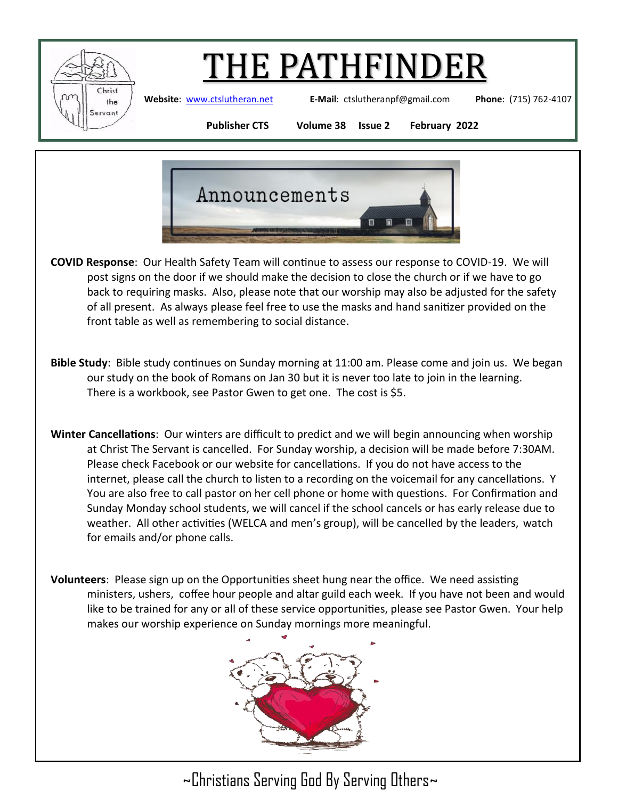

**Website**: [www.ctslutheran.net](http://www.ctslutheran.net/) **E-Mail**: ctslutheranpf@gmail.com **Phone**: (715) 762-4107

**Publisher CTS Volume 38 Issue 2 February 2022**



- **COVID Response**: Our Health Safety Team will continue to assess our response to COVID-19. We will post signs on the door if we should make the decision to close the church or if we have to go back to requiring masks. Also, please note that our worship may also be adjusted for the safety of all present. As always please feel free to use the masks and hand sanitizer provided on the front table as well as remembering to social distance.
- **Bible Study**: Bible study continues on Sunday morning at 11:00 am. Please come and join us. We began our study on the book of Romans on Jan 30 but it is never too late to join in the learning. There is a workbook, see Pastor Gwen to get one. The cost is \$5.
- **Winter Cancellations**: Our winters are difficult to predict and we will begin announcing when worship at Christ The Servant is cancelled. For Sunday worship, a decision will be made before 7:30AM. Please check Facebook or our website for cancellations. If you do not have access to the internet, please call the church to listen to a recording on the voicemail for any cancellations. Y You are also free to call pastor on her cell phone or home with questions. For Confirmation and Sunday Monday school students, we will cancel if the school cancels or has early release due to weather. All other activities (WELCA and men's group), will be cancelled by the leaders, watch for emails and/or phone calls.
- **Volunteers**: Please sign up on the Opportunities sheet hung near the office. We need assisting ministers, ushers, coffee hour people and altar guild each week. If you have not been and would like to be trained for any or all of these service opportunities, please see Pastor Gwen. Your help makes our worship experience on Sunday mornings more meaningful.